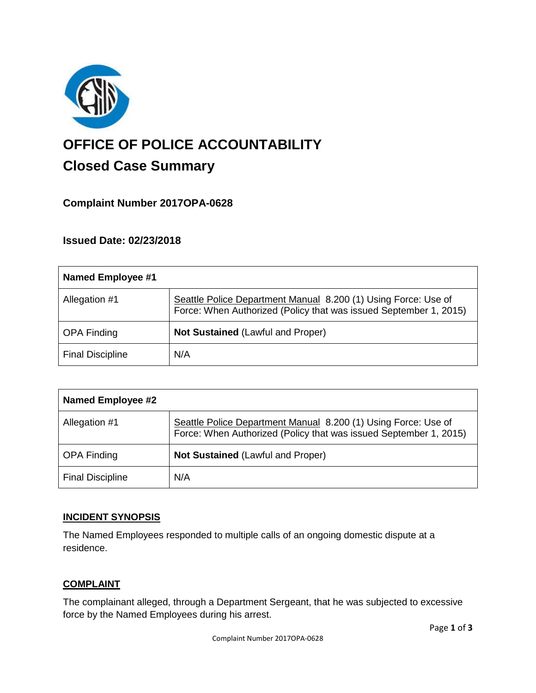

# **OFFICE OF POLICE ACCOUNTABILITY**

# **Closed Case Summary**

## **Complaint Number 2017OPA-0628**

### **Issued Date: 02/23/2018**

| Named Employee #1       |                                                                                                                                     |
|-------------------------|-------------------------------------------------------------------------------------------------------------------------------------|
| Allegation #1           | Seattle Police Department Manual 8.200 (1) Using Force: Use of<br>Force: When Authorized (Policy that was issued September 1, 2015) |
| <b>OPA Finding</b>      | <b>Not Sustained (Lawful and Proper)</b>                                                                                            |
| <b>Final Discipline</b> | N/A                                                                                                                                 |

| <b>Named Employee #2</b> |                                                                                                                                     |
|--------------------------|-------------------------------------------------------------------------------------------------------------------------------------|
| Allegation #1            | Seattle Police Department Manual 8.200 (1) Using Force: Use of<br>Force: When Authorized (Policy that was issued September 1, 2015) |
| <b>OPA Finding</b>       | <b>Not Sustained (Lawful and Proper)</b>                                                                                            |
| <b>Final Discipline</b>  | N/A                                                                                                                                 |

#### **INCIDENT SYNOPSIS**

The Named Employees responded to multiple calls of an ongoing domestic dispute at a residence.

#### **COMPLAINT**

The complainant alleged, through a Department Sergeant, that he was subjected to excessive force by the Named Employees during his arrest.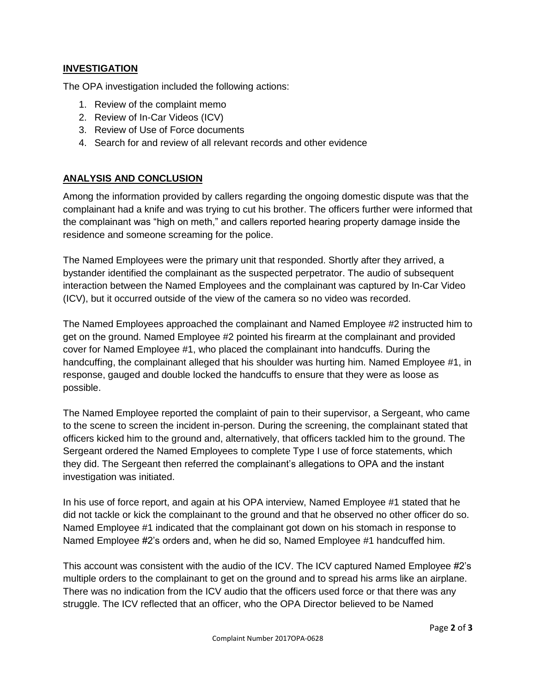#### **INVESTIGATION**

The OPA investigation included the following actions:

- 1. Review of the complaint memo
- 2. Review of In-Car Videos (ICV)
- 3. Review of Use of Force documents
- 4. Search for and review of all relevant records and other evidence

#### **ANALYSIS AND CONCLUSION**

Among the information provided by callers regarding the ongoing domestic dispute was that the complainant had a knife and was trying to cut his brother. The officers further were informed that the complainant was "high on meth," and callers reported hearing property damage inside the residence and someone screaming for the police.

The Named Employees were the primary unit that responded. Shortly after they arrived, a bystander identified the complainant as the suspected perpetrator. The audio of subsequent interaction between the Named Employees and the complainant was captured by In-Car Video (ICV), but it occurred outside of the view of the camera so no video was recorded.

The Named Employees approached the complainant and Named Employee #2 instructed him to get on the ground. Named Employee #2 pointed his firearm at the complainant and provided cover for Named Employee #1, who placed the complainant into handcuffs. During the handcuffing, the complainant alleged that his shoulder was hurting him. Named Employee #1, in response, gauged and double locked the handcuffs to ensure that they were as loose as possible.

The Named Employee reported the complaint of pain to their supervisor, a Sergeant, who came to the scene to screen the incident in-person. During the screening, the complainant stated that officers kicked him to the ground and, alternatively, that officers tackled him to the ground. The Sergeant ordered the Named Employees to complete Type I use of force statements, which they did. The Sergeant then referred the complainant's allegations to OPA and the instant investigation was initiated.

In his use of force report, and again at his OPA interview, Named Employee #1 stated that he did not tackle or kick the complainant to the ground and that he observed no other officer do so. Named Employee #1 indicated that the complainant got down on his stomach in response to Named Employee #2's orders and, when he did so, Named Employee #1 handcuffed him.

This account was consistent with the audio of the ICV. The ICV captured Named Employee #2's multiple orders to the complainant to get on the ground and to spread his arms like an airplane. There was no indication from the ICV audio that the officers used force or that there was any struggle. The ICV reflected that an officer, who the OPA Director believed to be Named